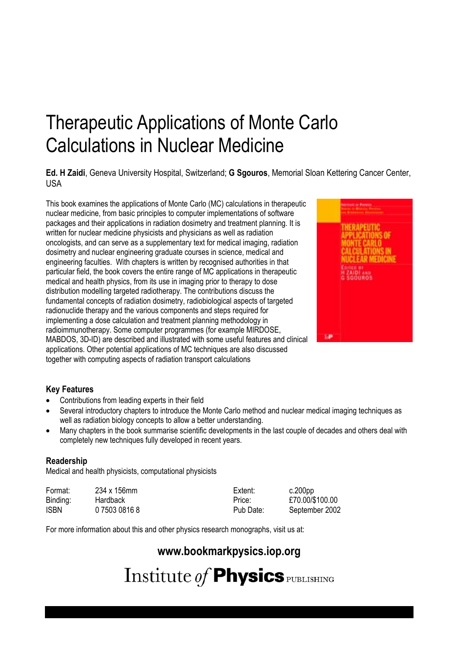# Therapeutic Applications of Monte Carlo Calculations in Nuclear Medicine

**Ed. H Zaidi**, Geneva University Hospital, Switzerland; **G Sgouros**, Memorial Sloan Kettering Cancer Center, USA

This book examines the applications of Monte Carlo (MC) calculations in therapeutic nuclear medicine, from basic principles to computer implementations of software packages and their applications in radiation dosimetry and treatment planning. It is written for nuclear medicine physicists and physicians as well as radiation oncologists, and can serve as a supplementary text for medical imaging, radiation dosimetry and nuclear engineering graduate courses in science, medical and engineering faculties. With chapters is written by recognised authorities in that particular field, the book covers the entire range of MC applications in therapeutic medical and health physics, from its use in imaging prior to therapy to dose distribution modelling targeted radiotherapy. The contributions discuss the fundamental concepts of radiation dosimetry, radiobiological aspects of targeted radionuclide therapy and the various components and steps required for implementing a dose calculation and treatment planning methodology in radioimmunotherapy. Some computer programmes (for example MIRDOSE, MABDOS, 3D-ID) are described and illustrated with some useful features and clinical applications. Other potential applications of MC techniques are also discussed together with computing aspects of radiation transport calculations



#### **Key Features**

- $\bullet$ Contributions from leading experts in their field
- $\bullet$  Several introductory chapters to introduce the Monte Carlo method and nuclear medical imaging techniques as well as radiation biology concepts to allow a better understanding.
- $\bullet$  Many chapters in the book summarise scientific developments in the last couple of decades and others deal with completely new techniques fully developed in recent years.

#### **Readership**

Medical and health physicists, computational physicists

| Format:     | 234 x 156mm   | Extent:   | c.200pp         |
|-------------|---------------|-----------|-----------------|
| Binding:    | Hardback      | Price:    | £70.00/\$100.00 |
| <b>ISBN</b> | 0 7503 0816 8 | Pub Date: | September 2002  |

For more information about this and other physics research monographs, visit us at:

### **www.bookmarkpysics.iop.org**

Institute of **Physics** PUBLISHING